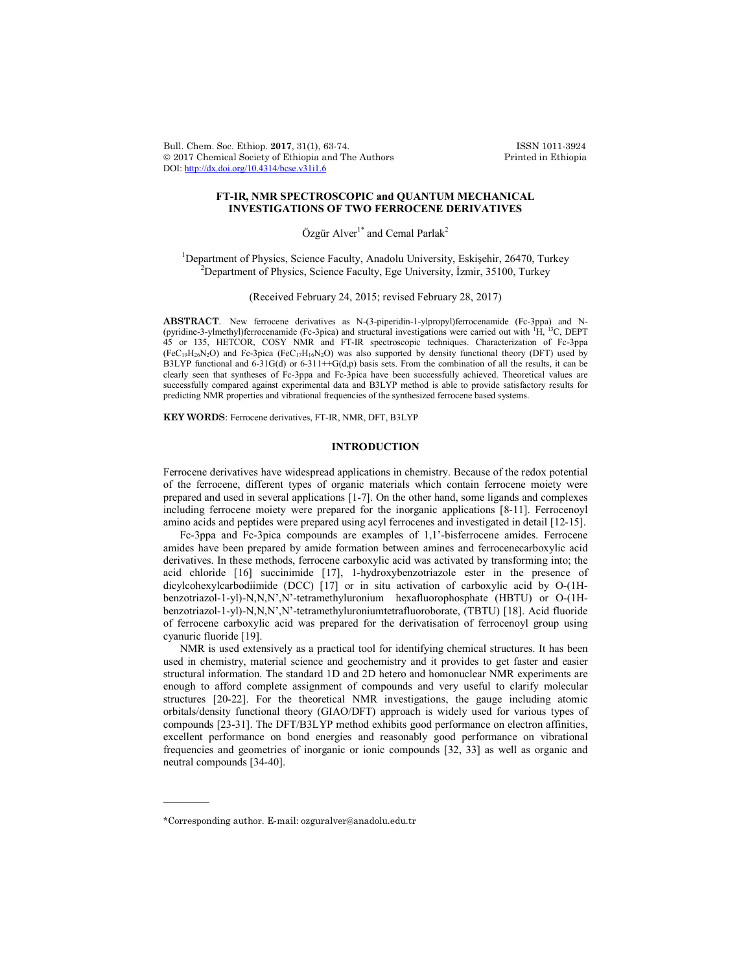Bull. Chem. Soc. Ethiop. 2017, 31(1), 63-74. ISSN 1011-3924<br>
© 2017 Chemical Society of Ethiopia and The Authors Printed in Ethiopia  $© 2017 Chemical Society of Ethiopia and The Authors$ DOI: http://dx.doi.org/10.4314/bcse.v31i1.6

# **FT-IR, NMR SPECTROSCOPIC and QUANTUM MECHANICAL INVESTIGATIONS OF TWO FERROCENE DERIVATIVES**

Özgür Alver<sup>1\*</sup> and Cemal Parlak<sup>2</sup>

<sup>1</sup>Department of Physics, Science Faculty, Anadolu University, Eskişehir, 26470, Turkey  $P^2$ Department of Physics, Science Faculty, Ege University, İzmir, 35100, Turkey

(Received February 24, 2015; revised February 28, 2017)

ABSTRACT. New ferrocene derivatives as N-(3-piperidin-1-ylpropyl)ferrocenamide (Fc-3ppa) and N-(pyridine-3-ylmethyl)ferrocenamide (Fc-3pica) and structural investigations were carried out with <sup>1</sup>H, <sup>13</sup>C, DEPT 45 or 135, HETCOR, COSY NMR and FT-IR spectroscopic techniques. Characterization of Fc-3ppa  $(FeC_{19}H_{26}N_2O)$  and Fc-3pica  $(FeC_{17}H_{16}N_2O)$  was also supported by density functional theory (DFT) used by B3LYP functional and  $6-31G(d)$  or  $6-311++G(d,p)$  basis sets. From the combination of all the results, it can be clearly seen that syntheses of Fc-3ppa and Fc-3pica have been successfully achieved. Theoretical values are successfully compared against experimental data and B3LYP method is able to provide satisfactory results for predicting NMR properties and vibrational frequencies of the synthesized ferrocene based systems.

**KEY WORDS**: Ferrocene derivatives, FT-IR, NMR, DFT, B3LYP

#### **INTRODUCTION**

Ferrocene derivatives have widespread applications in chemistry. Because of the redox potential of the ferrocene, different types of organic materials which contain ferrocene moiety were prepared and used in several applications [1-7]. On the other hand, some ligands and complexes including ferrocene moiety were prepared for the inorganic applications [8-11]. Ferrocenoyl amino acids and peptides were prepared using acyl ferrocenes and investigated in detail [12-15].

Fc-3ppa and Fc-3pica compounds are examples of 1,1'-bisferrocene amides. Ferrocene amides have been prepared by amide formation between amines and ferrocenecarboxylic acid derivatives. In these methods, ferrocene carboxylic acid was activated by transforming into; the acid chloride [16] succinimide [17], 1-hydroxybenzotriazole ester in the presence of dicylcohexylcarbodiimide (DCC) [17] or in situ activation of carboxylic acid by O-(1Hbenzotriazol-1-yl)-N,N,N',N'-tetramethyluronium hexafluorophosphate (HBTU) or O-(1Hbenzotriazol-1-yl)-N,N,N',N'-tetramethyluroniumtetrafluoroborate, (TBTU) [18]. Acid fluoride of ferrocene carboxylic acid was prepared for the derivatisation of ferrocenoyl group using cyanuric fluoride [19].

NMR is used extensively as a practical tool for identifying chemical structures. It has been used in chemistry, material science and geochemistry and it provides to get faster and easier structural information. The standard 1D and 2D hetero and homonuclear NMR experiments are enough to afford complete assignment of compounds and very useful to clarify molecular structures [20-22]. For the theoretical NMR investigations, the gauge including atomic orbitals/density functional theory (GIAO/DFT) approach is widely used for various types of compounds [23-31]. The DFT/B3LYP method exhibits good performance on electron affinities, excellent performance on bond energies and reasonably good performance on vibrational frequencies and geometries of inorganic or ionic compounds [32, 33] as well as organic and neutral compounds [34-40].

 $\overline{\phantom{a}}$ 

<sup>\*</sup>Corresponding author. E-mail: ozguralver@anadolu.edu.tr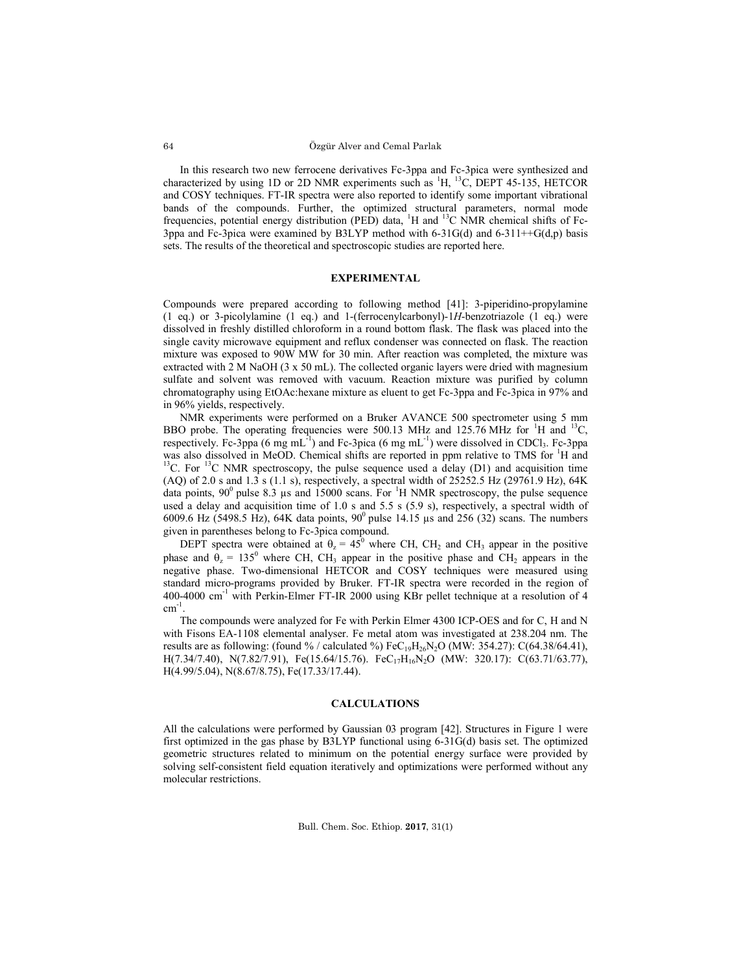In this research two new ferrocene derivatives Fc-3ppa and Fc-3pica were synthesized and characterized by using 1D or 2D NMR experiments such as  ${}^{1}H, {}^{13}C,$  DEPT 45-135, HETCOR and COSY techniques. FT-IR spectra were also reported to identify some important vibrational bands of the compounds. Further, the optimized structural parameters, normal mode frequencies, potential energy distribution (PED) data, <sup>1</sup>H and <sup>13</sup>C NMR chemical shifts of Fc-3ppa and Fc-3pica were examined by B3LYP method with 6-31G(d) and 6-311++G(d,p) basis sets. The results of the theoretical and spectroscopic studies are reported here.

### **EXPERIMENTAL**

Compounds were prepared according to following method [41]: 3-piperidino-propylamine (1 eq.) or 3-picolylamine (1 eq.) and 1-(ferrocenylcarbonyl)-1*H*-benzotriazole (1 eq.) were dissolved in freshly distilled chloroform in a round bottom flask. The flask was placed into the single cavity microwave equipment and reflux condenser was connected on flask. The reaction mixture was exposed to 90W MW for 30 min. After reaction was completed, the mixture was extracted with  $2 \text{ M NaOH}$  (3 x 50 mL). The collected organic layers were dried with magnesium sulfate and solvent was removed with vacuum. Reaction mixture was purified by column chromatography using EtOAc:hexane mixture as eluent to get Fc-3ppa and Fc-3pica in 97% and in 96% yields, respectively.

NMR experiments were performed on a Bruker AVANCE 500 spectrometer using 5 mm BBO probe. The operating frequencies were 500.13 MHz and 125.76 MHz for <sup>1</sup>H and <sup>13</sup>C, respectively. Fc-3ppa (6 mg mL<sup>-1</sup>) and Fc-3pica (6 mg mL<sup>-1</sup>) were dissolved in CDCl<sub>3</sub>. Fc-3ppa was also dissolved in MeOD. Chemical shifts are reported in ppm relative to TMS for  ${}^{1}H$  and <sup>13</sup>C. For <sup>13</sup>C NMR spectroscopy, the pulse sequence used a delay (D1) and acquisition time (AQ) of 2.0 s and 1.3 s (1.1 s), respectively, a spectral width of 25252.5 Hz (29761.9 Hz), 64K data points,  $90^{\circ}$  pulse 8.3 µs and 15000 scans. For <sup>1</sup>H NMR spectroscopy, the pulse sequence used a delay and acquisition time of 1.0 s and 5.5 s  $(5.9 \text{ s})$ , respectively, a spectral width of 6009.6 Hz (5498.5 Hz), 64K data points,  $90^{\circ}$  pulse 14.15 µs and 256 (32) scans. The numbers given in parentheses belong to Fc-3pica compound.

DEPT spectra were obtained at  $\theta_z = 45^\circ$  where CH, CH<sub>2</sub> and CH<sub>3</sub> appear in the positive phase and  $\theta_z = 135^\circ$  where CH, CH<sub>3</sub> appear in the positive phase and CH<sub>2</sub> appears in the negative phase. Two-dimensional HETCOR and COSY techniques were measured using standard micro-programs provided by Bruker. FT-IR spectra were recorded in the region of 400-4000 cm<sup>-1</sup> with Perkin-Elmer FT-IR 2000 using KBr pellet technique at a resolution of 4  $cm^{-1}$ .

The compounds were analyzed for Fe with Perkin Elmer 4300 ICP-OES and for C, H and N with Fisons EA-1108 elemental analyser. Fe metal atom was investigated at 238.204 nm. The results are as following: (found % / calculated %)  $FeC_{19}H_{26}N_2O$  (MW: 354.27): C(64.38/64.41), H(7.34/7.40), N(7.82/7.91), Fe(15.64/15.76). FeC<sub>17</sub>H<sub>16</sub>N<sub>2</sub>O (MW: 320.17): C(63.71/63.77), H(4.99/5.04), N(8.67/8.75), Fe(17.33/17.44).

### **CALCULATIONS**

All the calculations were performed by Gaussian 03 program [42]. Structures in Figure 1 were first optimized in the gas phase by B3LYP functional using 6-31G(d) basis set. The optimized geometric structures related to minimum on the potential energy surface were provided by solving self-consistent field equation iteratively and optimizations were performed without any molecular restrictions.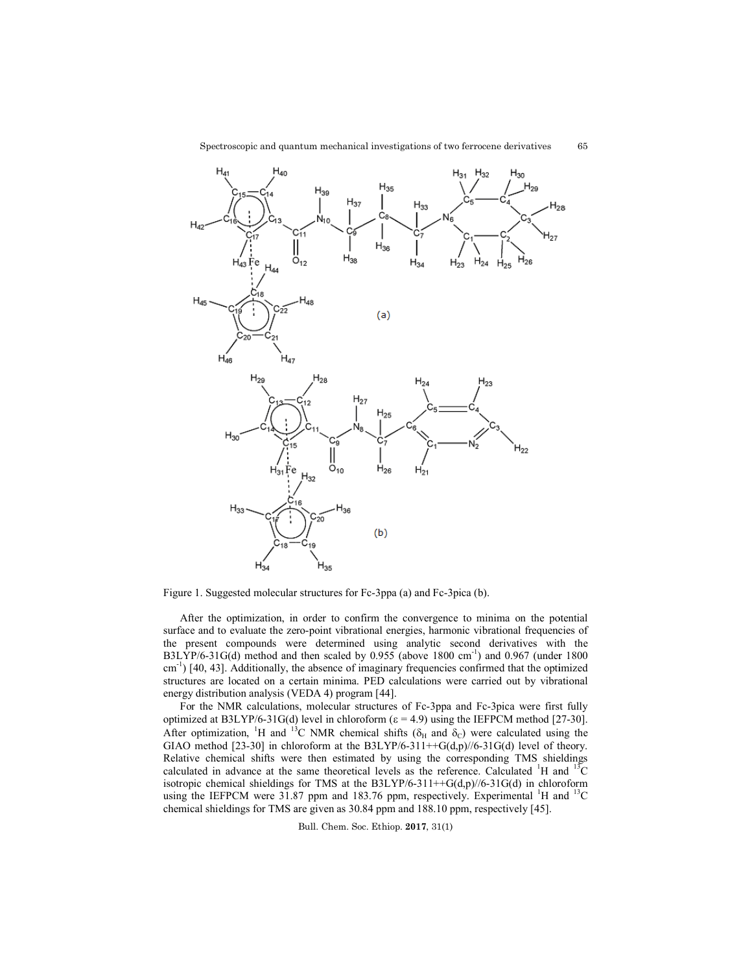65



Figure 1. Suggested molecular structures for Fc-3ppa (a) and Fc-3pica (b).

After the optimization, in order to confirm the convergence to minima on the potential After the optimization, in order to confirm the convergence to minima on the potential surface and to evaluate the zero-point vibrational energies, harmonic vibrational frequencies of the present compounds were determined using analytic second derivatives with the the present compounds were determined using analytic second derivatives with the B3LYP/6-31G(d) method and then scaled by 0.955 (above 1800 cm<sup>-1</sup>) and 0.967 (under 1800 cm<sup>-1</sup>) [40, 43]. Additionally, the absence of imaginary frequencies confirmed that the optimized structures are located on a certain minima. PED calculations were carried out by vibrational energy distribution analysis (VEDA 4) program [44]. the optimization, in order to confirm the convergence to minima on the potential<br>d to evaluate the zero-point vibrational energies, harmonic vibrational frequencies of<br>nt compounds were determined using analytic second de

For the NMR calculations, molecular structures of Fc-3ppa and Fc-3pica were first fully optimized at B3LYP/6-31G(d) level in chloroform  $(\epsilon = 4.9)$  using the IEFPCM method [27] After optimization, <sup>1</sup>H and <sup>13</sup>C NMR chemical shifts ( $\delta_H$  and  $\delta_C$ ) were calculated using the GIAO method [23-30] in chloroform at the  $B3LYP/6-311++G(d,p)/6-31G(d)$  level of theory. Relative chemical shifts were then estimated by using the corresponding TMS shieldings After optimization, <sup>1</sup>H and <sup>13</sup>C NMR chemical shifts ( $\delta_H$  and  $\delta_C$ ) were calculated using the GIAO method [23-30] in chloroform at the B3LYP/6-311++G(d,p)//6-31G(d) level of theory. Relative chemical shifts were then isotropic chemical shieldings for TMS at the  $B3LYP/6-311++G(d,p)/6-31G(d)$  in chloroform isotropic chemical shieldings for TMS at the B3LYP/6-311++G(d,p)//6-31G(d) in chloroform using the IEFPCM were 31.87 ppm and 183.76 ppm, respectively. Experimental <sup>1</sup>H and <sup>13</sup>C chemical shieldings for TMS are given as 30.84 ppm and 188.10 ppm, respectively [45].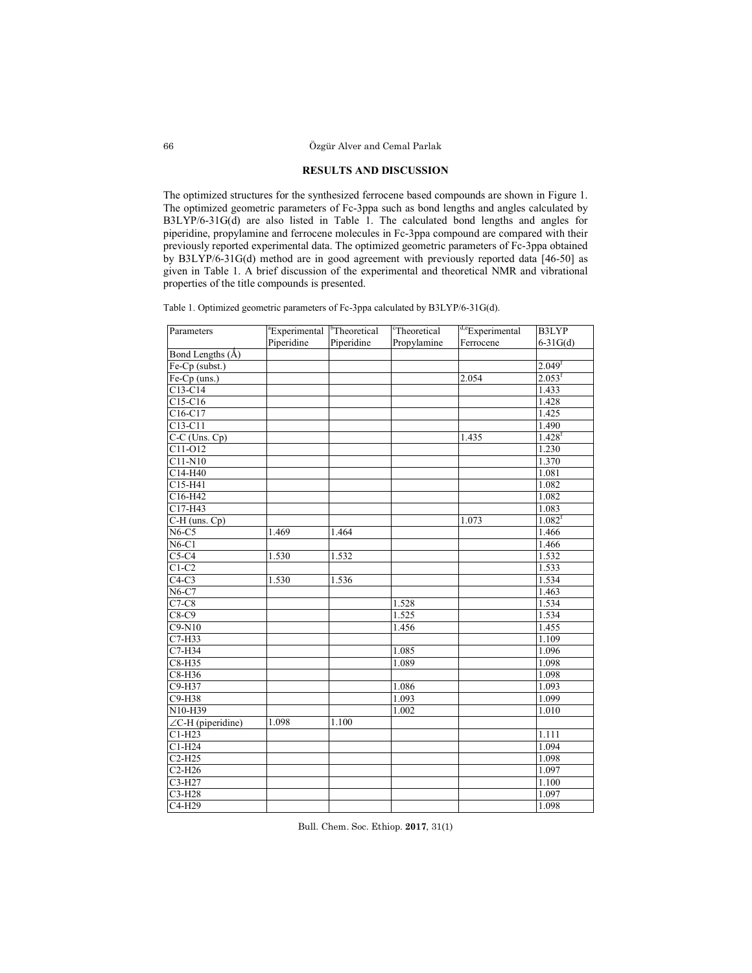# **RESULTS AND DISCUSSION**

The optimized structures for the synthesized ferrocene based compounds are shown in Figure 1. The optimized geometric parameters of Fc-3ppa such as bond lengths and angles calculated by B3LYP/6-31G(d) are also listed in Table 1. The calculated bond lengths and angles for piperidine, propylamine and ferrocene molecules in Fc-3ppa compound are compared with their previously reported experimental data. The optimized geometric parameters of Fc-3ppa obtained by B3LYP/6-31G(d) method are in good agreement with previously reported data [46-50] as given in Table 1. A brief discussion of the experimental and theoretical NMR and vibrational properties of the title compounds is presented.

Table 1. Optimized geometric parameters of Fc-3ppa calculated by B3LYP/6-31G(d).

| Parameters                | <sup>a</sup> Experimental | <sup>b</sup> Theoretical | Theoretical | <sup>d,e</sup> Experimental | B3LYP                |
|---------------------------|---------------------------|--------------------------|-------------|-----------------------------|----------------------|
|                           | Piperidine                | Piperidine               | Propylamine | Ferrocene                   | $6-31G(d)$           |
| Bond Lengths (Å)          |                           |                          |             |                             |                      |
| Fe-Cp (subst.)            |                           |                          |             |                             | 2.049 <sup>f</sup>   |
| Fe-Cp (uns.)              |                           |                          |             | 2.054                       | $2.053$ <sup>f</sup> |
| $C13-C14$                 |                           |                          |             |                             | 1.433                |
| C15-C16                   |                           |                          |             |                             | 1.428                |
| C16-C17                   |                           |                          |             |                             | 1.425                |
| C13-C11                   |                           |                          |             |                             | 1.490                |
| $C-C$ (Uns. Cp)           |                           |                          |             | 1.435                       | $1.428$ <sup>f</sup> |
| $C11-O12$                 |                           |                          |             |                             | 1.230                |
| $C11-N10$                 |                           |                          |             |                             | 1.370                |
| C14-H40                   |                           |                          |             |                             | 1.081                |
| C15-H41                   |                           |                          |             |                             | 1.082                |
| C16-H42                   |                           |                          |             |                             | 1.082                |
| C17-H43                   |                           |                          |             |                             | 1.083                |
| $C-H$ (uns. $Cp$ )        |                           |                          |             | 1.073                       | 1.082 <sup>f</sup>   |
| $N6-C5$                   | 1.469                     | 1.464                    |             |                             | 1.466                |
| $N6-C1$                   |                           |                          |             |                             | 1.466                |
| $C5-C4$                   | 1.530                     | 1.532                    |             |                             | 1.532                |
| $C1-C2$                   |                           |                          |             |                             | 1.533                |
| $C4-C3$                   | 1.530                     | 1.536                    |             |                             | 1.534                |
| $N6-C7$                   |                           |                          |             |                             | 1.463                |
| $C7-C8$                   |                           |                          | 1.528       |                             | 1.534                |
| $C8-C9$                   |                           |                          | 1.525       |                             | 1.534                |
| $C9-N10$                  |                           |                          | 1.456       |                             | 1.455                |
| $C7-H33$                  |                           |                          |             |                             | 1.109                |
| $C7-H34$                  |                           |                          | 1.085       |                             | 1.096                |
| C8-H35                    |                           |                          | 1.089       |                             | 1.098                |
| $C8-H36$                  |                           |                          |             |                             | 1.098                |
| C9-H37                    |                           |                          | 1.086       |                             | 1.093                |
| C9-H38                    |                           |                          | 1.093       |                             | 1.099                |
| $N10-H39$                 |                           |                          | 1.002       |                             | 1.010                |
| $\angle$ C-H (piperidine) | 1.098                     | 1.100                    |             |                             |                      |
| $C1-H23$                  |                           |                          |             |                             | 1.111                |
| $C1-H24$                  |                           |                          |             |                             | 1.094                |
| $C2-H25$                  |                           |                          |             |                             | 1.098                |
| $C2-H26$                  |                           |                          |             |                             | 1.097                |
| C3-H27                    |                           |                          |             |                             | 1.100                |
| C3-H28                    |                           |                          |             |                             | 1.097                |
| C4-H29                    |                           |                          |             |                             | 1.098                |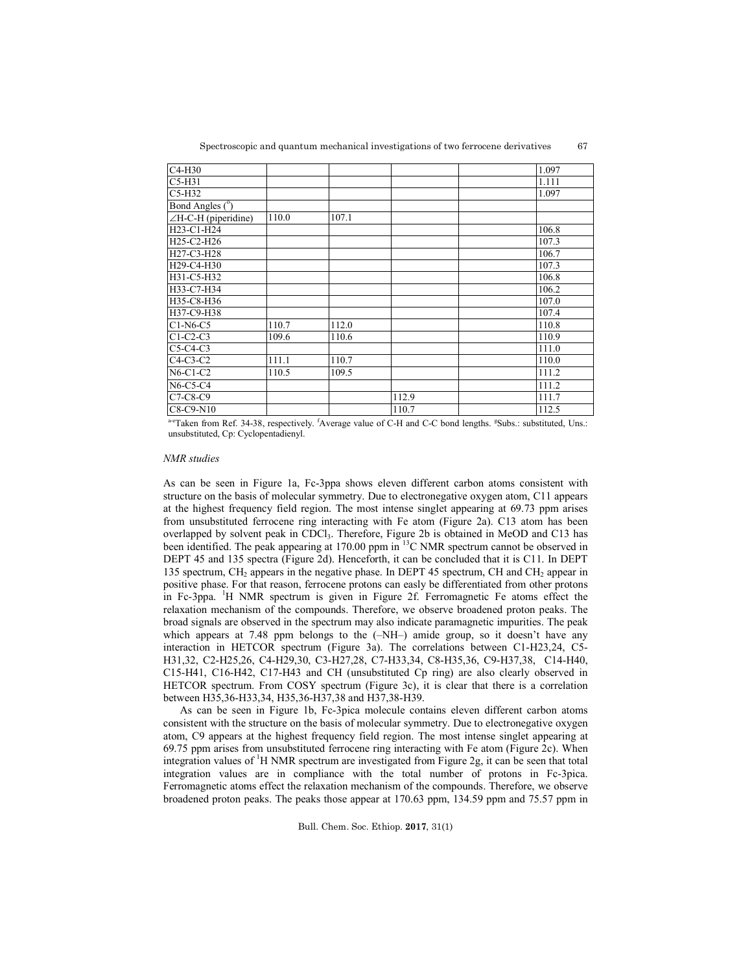| C4-H30                                           |       |       |       | 1.097 |
|--------------------------------------------------|-------|-------|-------|-------|
| $C5-H31$                                         |       |       |       | 1.111 |
| $C5-H32$                                         |       |       |       | 1.097 |
| Bond Angles (°)                                  |       |       |       |       |
| $\angle H$ -C-H (piperidine)                     | 110.0 | 107.1 |       |       |
| H23-C1-H24                                       |       |       |       | 106.8 |
| H <sub>25</sub> -C <sub>2</sub> -H <sub>26</sub> |       |       |       | 107.3 |
| H27-C3-H28                                       |       |       |       | 106.7 |
| H <sub>29</sub> -C <sub>4</sub> -H <sub>30</sub> |       |       |       | 107.3 |
| H31-C5-H32                                       |       |       |       | 106.8 |
| H33-C7-H34                                       |       |       |       | 106.2 |
| H35-C8-H36                                       |       |       |       | 107.0 |
| H37-C9-H38                                       |       |       |       | 107.4 |
| $C1-N6-C5$                                       | 110.7 | 112.0 |       | 110.8 |
| $C1-C2-C3$                                       | 109.6 | 110.6 |       | 110.9 |
| $C5-C4-C3$                                       |       |       |       | 111.0 |
| $C4-C3-C2$                                       | 111.1 | 110.7 |       | 110.0 |
| $N6-C1-C2$                                       | 110.5 | 109.5 |       | 111.2 |
| $N6-C5-C4$                                       |       |       |       | 111.2 |
| C7-C8-C9                                         |       |       | 112.9 | 111.7 |
| C8-C9-N10                                        |       |       | 110.7 | 112.5 |

a-eTaken from Ref. 34-38, respectively. <sup>f</sup>Average value of C-H and C-C bond lengths. <sup>g</sup>Subs.: substituted, Uns.: unsubstituted, Cp: Cyclopentadienyl.

### *NMR studies*

As can be seen in Figure 1a, Fc-3ppa shows eleven different carbon atoms consistent with structure on the basis of molecular symmetry. Due to electronegative oxygen atom, C11 appears at the highest frequency field region. The most intense singlet appearing at 69.73 ppm arises from unsubstituted ferrocene ring interacting with Fe atom (Figure 2a). C13 atom has been overlapped by solvent peak in CDCl<sub>3</sub>. Therefore, Figure 2b is obtained in MeOD and C13 has been identified. The peak appearing at 170.00 ppm in <sup>13</sup>C NMR spectrum cannot be observed in DEPT 45 and 135 spectra (Figure 2d). Henceforth, it can be concluded that it is C11. In DEPT 135 spectrum, CH<sub>2</sub> appears in the negative phase. In DEPT 45 spectrum, CH and CH<sub>2</sub> appear in positive phase. For that reason, ferrocene protons can easly be differentiated from other protons in Fc-3ppa. <sup>1</sup> H NMR spectrum is given in Figure 2f. Ferromagnetic Fe atoms effect the relaxation mechanism of the compounds. Therefore, we observe broadened proton peaks. The broad signals are observed in the spectrum may also indicate paramagnetic impurities. The peak which appears at 7.48 ppm belongs to the  $(-NH-)$  amide group, so it doesn't have any interaction in HETCOR spectrum (Figure 3a). The correlations between C1-H23,24, C5- H31,32, C2-H25,26, C4-H29,30, C3-H27,28, C7-H33,34, C8-H35,36, C9-H37,38, C14-H40, C15-H41, C16-H42, C17-H43 and CH (unsubstituted Cp ring) are also clearly observed in HETCOR spectrum. From COSY spectrum (Figure 3c), it is clear that there is a correlation between H35,36-H33,34, H35,36-H37,38 and H37,38-H39.

As can be seen in Figure 1b, Fc-3pica molecule contains eleven different carbon atoms consistent with the structure on the basis of molecular symmetry. Due to electronegative oxygen atom, C9 appears at the highest frequency field region. The most intense singlet appearing at 69.75 ppm arises from unsubstituted ferrocene ring interacting with Fe atom (Figure 2c). When integration values of <sup>1</sup>H NMR spectrum are investigated from Figure 2g, it can be seen that total integration values are in compliance with the total number of protons in Fc-3pica. Ferromagnetic atoms effect the relaxation mechanism of the compounds. Therefore, we observe broadened proton peaks. The peaks those appear at 170.63 ppm, 134.59 ppm and 75.57 ppm in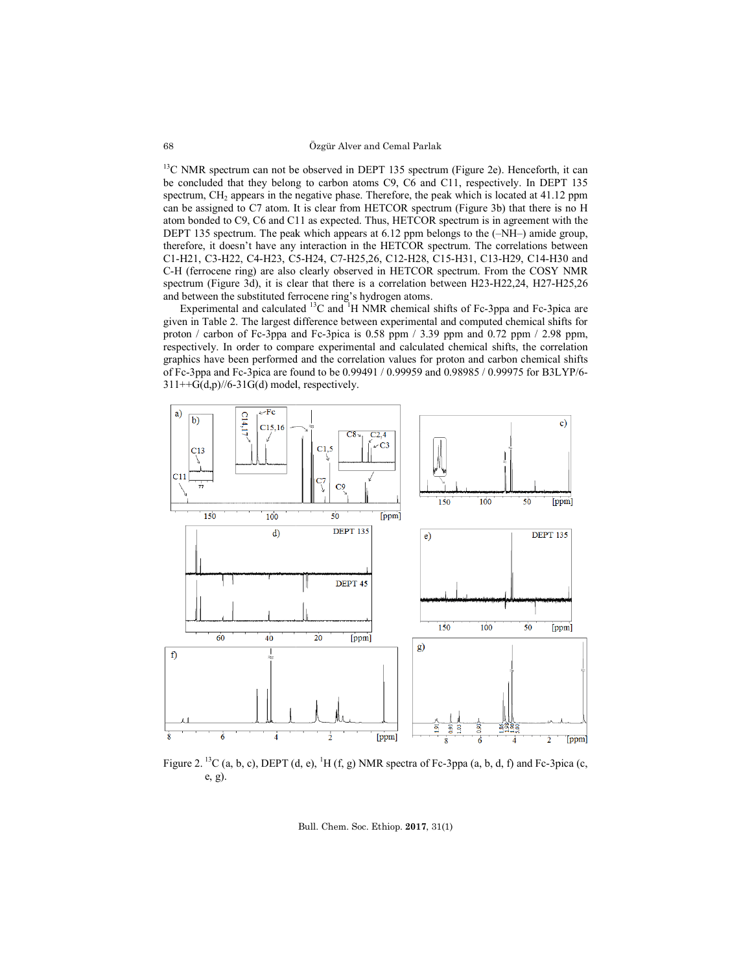#### Özgür Alver and Cemal Parlak

<sup>13</sup>C NMR spectrum can not be observed in DEPT 135 spectrum (Figure 2e). Henceforth, it can <sup>13</sup>C NMR spectrum can not be observed in DEPT 135 spectrum (Figure 2e). Henceforth, it can be concluded that they belong to carbon atoms C9, C6 and C11, respectively. In DEPT 135 spectrum, CH<sub>2</sub> appears in the negative phase. Therefore, the peak which is located at 41.12 ppm can be assigned to C7 atom. It is clear from HETCOR spectrum (Figure 3b) that there is no H atom bonded to C9, C6 and C11 as expected. Thus, HETCOR spectrum is in agreement with the DEPT 135 spectrum. The peak which appears at 6.12 ppm belongs to the (-NH-) amide group, therefore, it doesn't have any interaction in the HETCOR spectrum. The correlations between therefore, it doesn't have any interaction in the HETCOR spectrum. The correlations between C1-H21, C3-H22, C4-H23, C5-H24, C7-H25,26, C12-H28, C15-H31, C13-H29, C14-H30 and C-H (ferrocene ring) are also clearly observed in HETCOR spectrum. From the COSY NMR C-H (ferrocene ring) are also clearly observed in HETCOR spectrum. From the COSY NMR spectrum (Figure 3d), it is clear that there is a correlation between H23-H22,24, H27-H25,26 and between the substituted ferrocene ring's hydrogen atoms. 7 atom. It is clear from HETCOR spectrum (Figure 3b) that there is no H 6 and C11 as expected. Thus, HETCOR spectrum is in agreement with the The peak which appears at 6.12 ppm belongs to the (–NH–) amide group, NMR spectrum can not be observed in DEPT 135 spectrum (Figure 2e). Henceforth, it can concluded that they belong to carbon atoms C9, C6 and C11, respectively. In DEPT 135 trunn, CH<sub>2</sub> appears in the negative phase. Theref

Experimental and calculated  ${}^{13}C$  and  ${}^{1}H$  NMR chemical shifts of Fc-3ppa and Fc-3pica are given in Table 2. The largest difference between experimental and computed chemical shifts for given in Table 2. The largest difference between experimental and computed chemical shifts for proton / carbon of Fc-3ppa and Fc-3pica is 0.58 ppm / 3.39 ppm and 0.72 ppm / 2.98 ppm, respectively. In order to compare experimental and calculated chemical shifts, the correlation graphics have been performed and the correlation values for proton and carb and carbon chemical shifts of Fc-3ppa and Fc-3pica are found to be 0.99491 / 0.99959 and 0.98985 / 0.99975 for B3LYP/6  $311++G(d,p)/\frac{6-31}{G(d)}$  model, respectively.



Figure 2. <sup>13</sup>C (a, b, c), DEPT (d, e), <sup>1</sup>H (f, g) NMR spectra of Fc-3ppa (a, b, d, f) and Fc-3pica (c, e, g).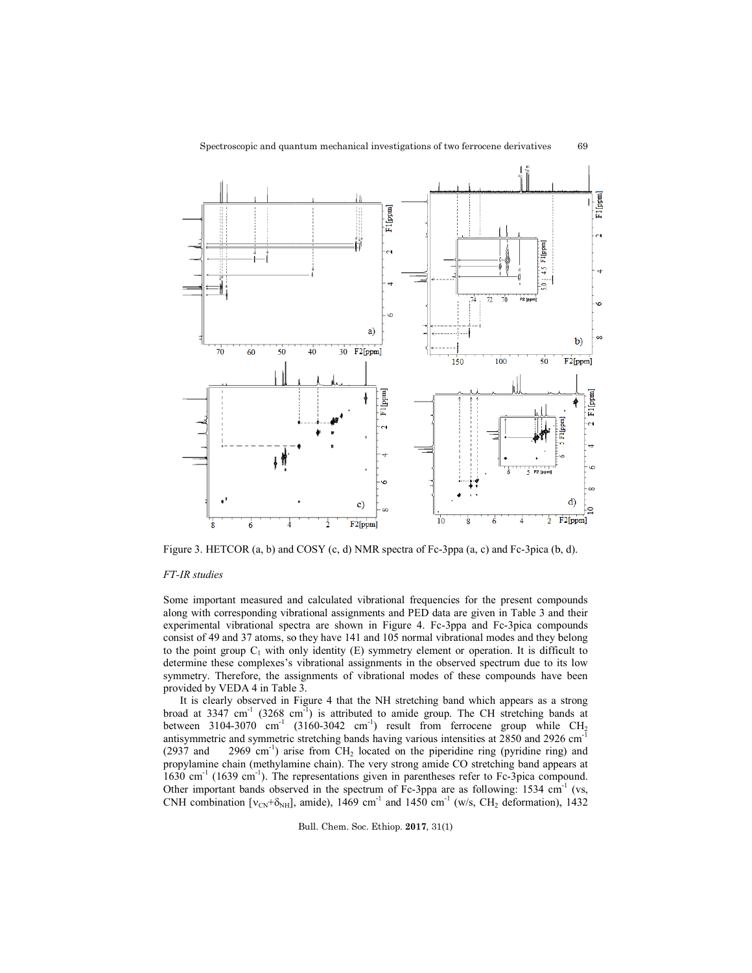

69



Figure 3. HETCOR (a, b) and COSY (c, d) NMR spectra of Fc-3ppa (a, c) and Fc-3pica (b, d).

## *FT-IR studies*

Some important measured and calculated vibrational frequencies for the present compounds Some important measured and calculated vibrational frequencies for the present compounds along with corresponding vibrational assignments and PED data are given in Table 3 and their experimental vibrational spectra are shown in Figure 4. Fc 4. Fc-3ppa and Fc-3pica compounds consist of 49 and 37 atoms, so they have 141 and 105 normal vibrational modes and they belong to the point group  $C_1$  with only identity  $(E)$  symmetry element or operation. It is difficult to determine these complexes's vibrational assignments in the observed spectrum due to its low symmetry. Therefore, the assignments of vibrational modes of these compounds have been provided by VEDA 4 in Table 3. sist of 49 and 37 atoms, so they have 141 and 105 normal vibrational modes and they belong<br>the point group C<sub>1</sub> with only identity (E) symmetry element or operation. It is difficult to<br>ermine these complexes's vibrational Figure 3. HETCOR (a, b) and COSY (c, d) NMR spectra of Fc-3ppa (a, c) and Fc-3pica (b, d).<br>
FT-IR studies<br>
Some important measured and calculated vibrational frequencies for the present compounds<br>
along with corresponding

It is clearly observed in Figure 4 that the NH stretching band which appears as a strong broad at  $3347 \text{ cm}^{-1}$  ( $3268 \text{ cm}^{-1}$ ) is attributed to amide group. The CH stretching bands at between  $3104-3070$  cm<sup>-1</sup>  $(3160-3042$  cm<sup>-1</sup>) result from ferrocene group while CH antisymmetric and symmetric stretching bands having various intensities at  $2850$  and  $2926$  cm<sup>-1</sup> antisymmetric and symmetric stretching bands having various intensities at 2850 and 2926 cm<sup>-1</sup> (2937 and 2969 cm<sup>-1</sup>) arise from CH<sub>2</sub> located on the piperidine ring (pyridine ring) and propylamine chain (methylamine chain). The very strong amide CO stretching band appears at 1630 cm<sup>-1</sup> (1639 cm<sup>-1</sup>). The representations given in parentheses refer to Fc-3pica compound. Other important bands observed in the spectrum of Fc Fc-3ppa are as following: 1534 cm CNH combination [ $v_{CN}$ + $\delta_{NH}$ ], amide), 1469 cm<sup>-1</sup> and 1450 cm<sup>-1</sup> (w/s, CH<sub>2</sub> deformation), 1432 ed on the piperidine ring (pyridine ring) and<br>ry strong amide CO stretching band appears at<br>en in parentheses refer to Fc-3pica compound.<br>n of Fc-3ppa are as following: 1534 cm<sup>-1</sup> (vs,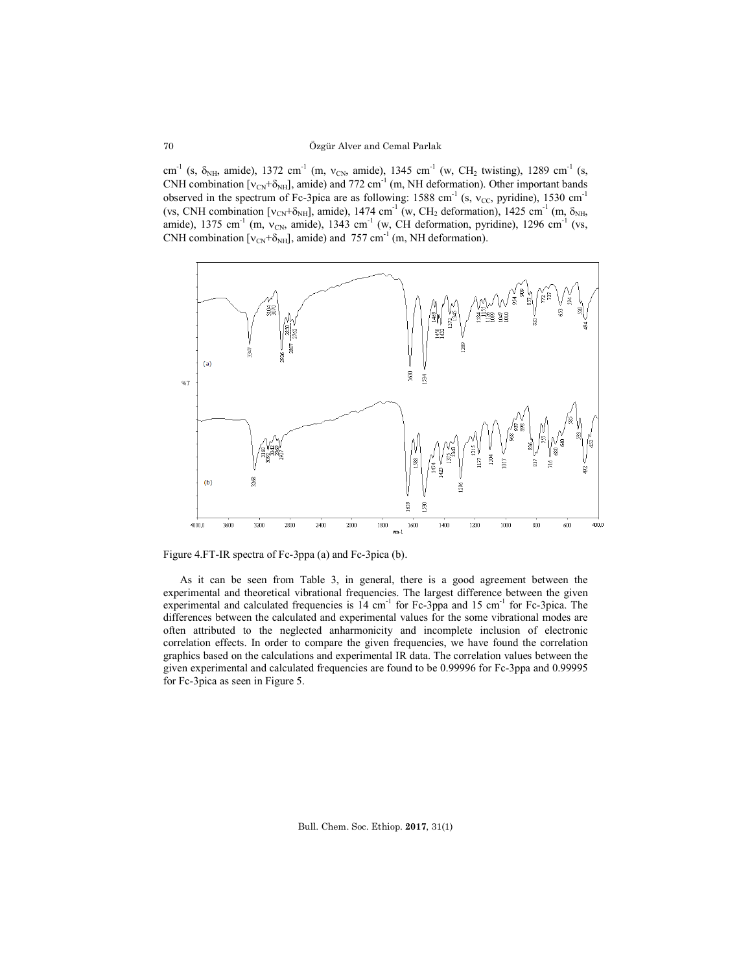cm<sup>-1</sup> (s,  $\delta_{NH}$ , amide), 1372 cm<sup>-1</sup> (m, v<sub>CN</sub>, amide), 1345 cm<sup>-1</sup> (w, CH<sub>2</sub> twisting), 1289 cm<sup>-1</sup> (s, CNH combination  $[v_{CN}+\delta_{NH}]$ , amide) and 772 cm<sup>-1</sup> (m, NH deformation). Other important bands observed in the spectrum of Fc-3pica are as following: 1588 cm<sup>-1</sup> (s,  $v_{CC}$ , pyridine), 1530 cm<sup>-1</sup> (vs, CNH combination  $[v_{CN}+\delta_{NH}]$ , amide), 1474 cm<sup>-1</sup> (w, CH<sub>2</sub> deformation), 1425 cm<sup>-1</sup> (m,  $\delta_{NH}$ , amide), 1375 cm<sup>-1</sup> (m, v<sub>CN</sub>, amide), 1343 cm<sup>-1</sup> (w, CH deformation, pyridine), 1296 cm<sup>-1</sup> (vs, CNH combination  $[v_{CN}+\delta_{NH}]$ , amide) and 757 cm<sup>-1</sup> (m, NH deformation).



Figure 4.FT-IR spectra of Fc-3ppa (a) and Fc-3pica (b).

As it can be seen from Table 3, in general, there is a good agreement between the experimental and theoretical vibrational frequencies. The largest difference between the given experimental and calculated frequencies is  $14 \text{ cm}^{-1}$  for Fc-3ppa and 15 cm<sup>-1</sup> for Fc-3pica. The differences between the calculated and experimental values for the some vibrational modes are often attributed to the neglected anharmonicity and incomplete inclusion of electronic correlation effects. In order to compare the given frequencies, we have found the correlation graphics based on the calculations and experimental IR data. The correlation values between the given experimental and calculated frequencies are found to be 0.99996 for Fc-3ppa and 0.99995 for Fc-3pica as seen in Figure 5.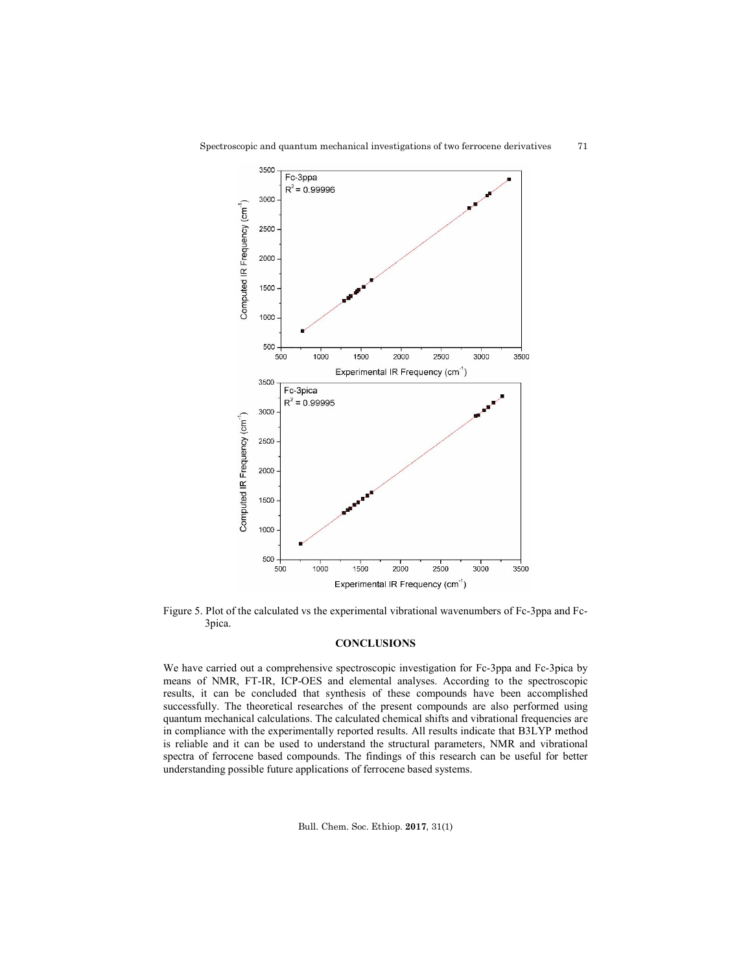

Figure 5. Plot of the calculated vs the experimental vibrational wavenumbers of Fc-3ppa and Fc-3pica.

# **CONCLUSIONS**

We have carried out a comprehensive spectroscopic investigation for Fc-3ppa and Fc-3pica by means of NMR, FT-IR, ICP-OES and elemental analyses. According to the spectroscopic results, it can be concluded that synthesis of these compounds have been accomplished successfully. The theoretical researches of the present compounds are also performed using quantum mechanical calculations. The calculated chemical shifts and vibrational frequencies are in compliance with the experimentally reported results. All results indicate that B3LYP method is reliable and it can be used to understand the structural parameters, NMR and vibrational spectra of ferrocene based compounds. The findings of this research can be useful for better understanding possible future applications of ferrocene based systems. We have carried out a comprehensive spectroscopic investigation for Fc-3ppa and Fc-3pica by<br>means of NMR, FT-IR, ICP-OES and elemental analyses. According to the spectroscopic<br>results, it can be concluded that synthesis of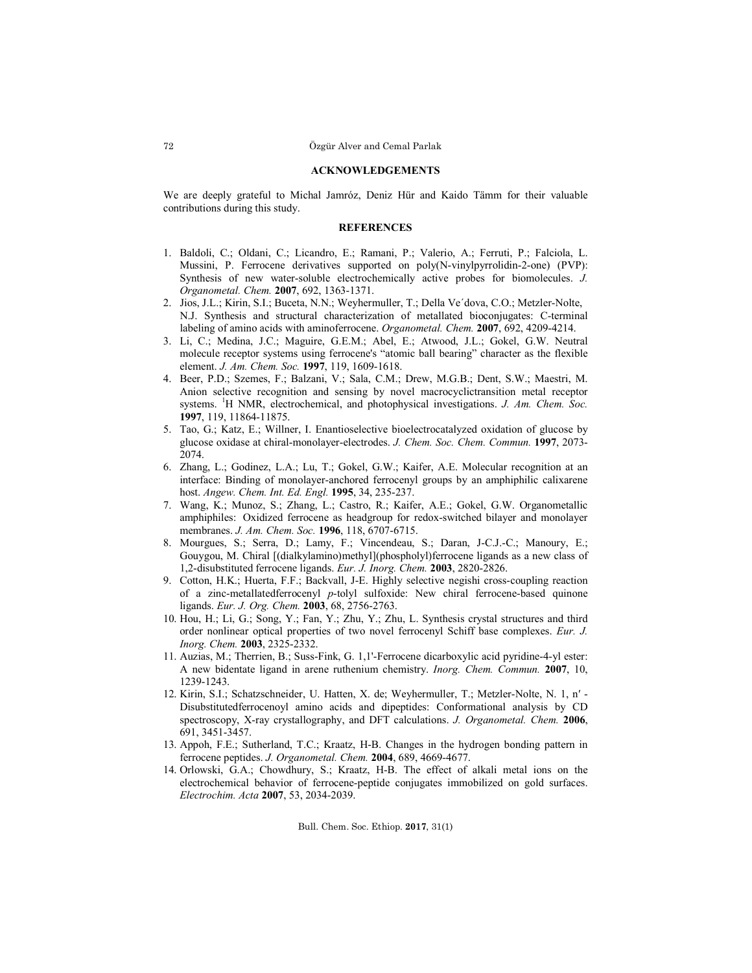#### **ACKNOWLEDGEMENTS**

We are deeply grateful to Michal Jamróz, Deniz Hür and Kaido Tämm for their valuable contributions during this study.

### **REFERENCES**

- 1. Baldoli, C.; Oldani, C.; Licandro, E.; Ramani, P.; Valerio, A.; Ferruti, P.; Falciola, L. Mussini, P. Ferrocene derivatives supported on poly(N-vinylpyrrolidin-2-one) (PVP): Synthesis of new water-soluble electrochemically active probes for biomolecules. *J. Organometal. Chem.* **2007**, 692, 1363-1371.
- 2. Jios, J.L.; Kirin, S.I.; Buceta, N.N.; Weyhermuller, T.; Della Ve´dova, C.O.; Metzler-Nolte, N.J. Synthesis and structural characterization of metallated bioconjugates: C-terminal labeling of amino acids with aminoferrocene. *Organometal. Chem.* **2007**, 692, 4209-4214.
- 3. Li, C.; Medina, J.C.; Maguire, G.E.M.; Abel, E.; Atwood, J.L.; Gokel, G.W. Neutral molecule receptor systems using ferrocene's "atomic ball bearing" character as the flexible element. *J. Am. Chem. Soc.* **1997**, 119, 1609-1618.
- 4. Beer, P.D.; Szemes, F.; Balzani, V.; Sala, C.M.; Drew, M.G.B.; Dent, S.W.; Maestri, M. Anion selective recognition and sensing by novel macrocyclictransition metal receptor systems. <sup>1</sup> H NMR, electrochemical, and photophysical investigations. *J. Am. Chem. Soc.* **1997**, 119, 11864-11875.
- 5. Tao, G.; Katz, E.; Willner, I. Enantioselective bioelectrocatalyzed oxidation of glucose by glucose oxidase at chiral-monolayer-electrodes. *J. Chem. Soc. Chem. Commun.* **1997**, 2073- 2074.
- 6. Zhang, L.; Godinez, L.A.; Lu, T.; Gokel, G.W.; Kaifer, A.E. Molecular recognition at an interface: Binding of monolayer-anchored ferrocenyl groups by an amphiphilic calixarene host. *Angew. Chem. Int. Ed. Engl.* **1995**, 34, 235-237.
- 7. Wang, K.; Munoz, S.; Zhang, L.; Castro, R.; Kaifer, A.E.; Gokel, G.W. Organometallic amphiphiles:  Oxidized ferrocene as headgroup for redox-switched bilayer and monolayer membranes. *J. Am. Chem. Soc.* **1996**, 118, 6707-6715.
- 8. Mourgues, S.; Serra, D.; Lamy, F.; Vincendeau, S.; Daran, J-C.J.-C.; Manoury, E.; Gouygou, M. Chiral [(dialkylamino)methyl](phospholyl)ferrocene ligands as a new class of 1,2-disubstituted ferrocene ligands. *Eur. J. Inorg. Chem.* **2003**, 2820-2826.
- 9. Cotton, H.K.; Huerta, F.F.; Backvall, J-E. Highly selective negishi cross-coupling reaction of a zinc-metallatedferrocenyl *p*-tolyl sulfoxide: New chiral ferrocene-based quinone ligands. *Eur. J. Org. Chem.* **2003**, 68, 2756-2763.
- 10. Hou, H.; Li, G.; Song, Y.; Fan, Y.; Zhu, Y.; Zhu, L. Synthesis crystal structures and third order nonlinear optical properties of two novel ferrocenyl Schiff base complexes. *Eur. J. Inorg. Chem.* **2003**, 2325-2332.
- 11. Auzias, M.; Therrien, B.; Suss-Fink, G. 1,1'-Ferrocene dicarboxylic acid pyridine-4-yl ester: A new bidentate ligand in arene ruthenium chemistry. *Inorg. Chem. Commun.* **2007**, 10, 1239-1243.
- 12. Kirin, S.I.; Schatzschneider, U. Hatten, X. de; Weyhermuller, T.; Metzler-Nolte, N. 1, n′ Disubstitutedferrocenoyl amino acids and dipeptides: Conformational analysis by CD spectroscopy, X-ray crystallography, and DFT calculations. *J. Organometal. Chem.* **2006**, 691, 3451-3457.
- 13. Appoh, F.E.; Sutherland, T.C.; Kraatz, H-B. Changes in the hydrogen bonding pattern in ferrocene peptides. *J. Organometal. Chem.* **2004**, 689, 4669-4677.
- 14. Orlowski, G.A.; Chowdhury, S.; Kraatz, H-B. The effect of alkali metal ions on the electrochemical behavior of ferrocene-peptide conjugates immobilized on gold surfaces. *Electrochim. Acta* **2007**, 53, 2034-2039.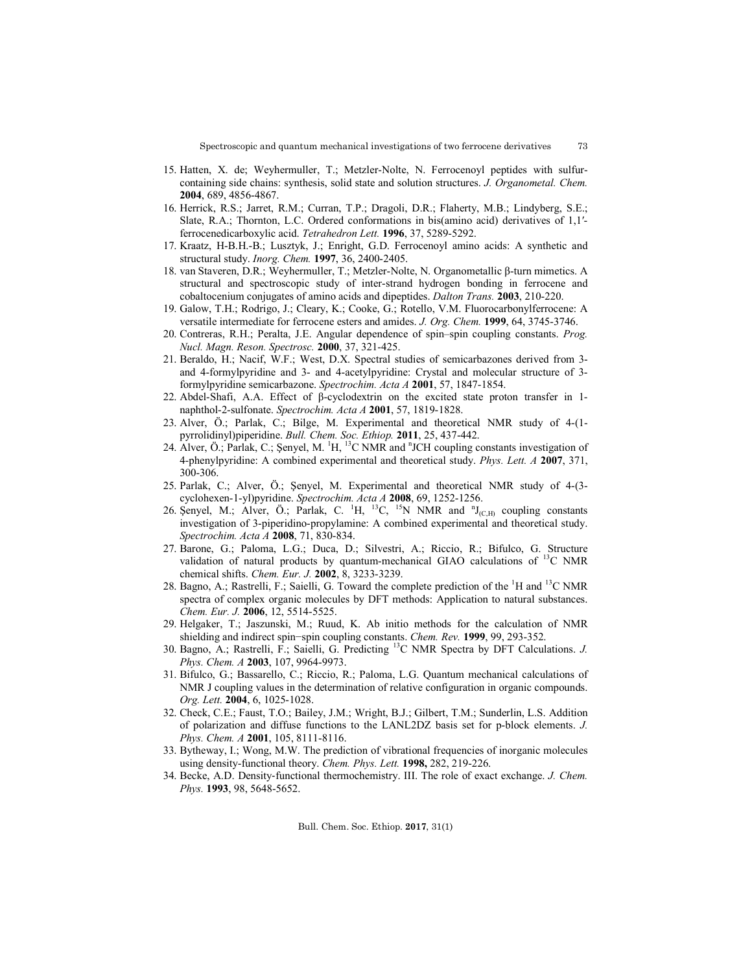- 15. Hatten, X. de; Weyhermuller, T.; Metzler-Nolte, N. Ferrocenoyl peptides with sulfurcontaining side chains: synthesis, solid state and solution structures. *J. Organometal. Chem.* **2004**, 689, 4856-4867.
- 16. Herrick, R.S.; Jarret, R.M.; Curran, T.P.; Dragoli, D.R.; Flaherty, M.B.; Lindyberg, S.E.; Slate, R.A.; Thornton, L.C. Ordered conformations in bis(amino acid) derivatives of 1,1′ ferrocenedicarboxylic acid. *Tetrahedron Lett.* **1996**, 37, 5289-5292.
- 17. Kraatz, H-B.H.-B.; Lusztyk, J.; Enright, G.D. Ferrocenoyl amino acids: A synthetic and structural study. *Inorg. Chem.* **1997**, 36, 2400-2405.
- 18. van Staveren, D.R.; Weyhermuller, T.; Metzler-Nolte, N. Organometallic β-turn mimetics. A structural and spectroscopic study of inter-strand hydrogen bonding in ferrocene and cobaltocenium conjugates of amino acids and dipeptides. *Dalton Trans.* **2003**, 210-220.
- 19. Galow, T.H.; Rodrigo, J.; Cleary, K.; Cooke, G.; Rotello, V.M. Fluorocarbonylferrocene: A versatile intermediate for ferrocene esters and amides. *J. Org. Chem.* **1999**, 64, 3745-3746.
- 20. Contreras, R.H.; Peralta, J.E. Angular dependence of spin–spin coupling constants. *Prog. Nucl. Magn. Reson. Spectrosc.* **2000**, 37, 321-425.
- 21. Beraldo, H.; Nacif, W.F.; West, D.X. Spectral studies of semicarbazones derived from 3 and 4-formylpyridine and 3- and 4-acetylpyridine: Crystal and molecular structure of 3 formylpyridine semicarbazone. *Spectrochim. Acta A* **2001**, 57, 1847-1854.
- 22. Abdel-Shafi, A.A. Effect of β-cyclodextrin on the excited state proton transfer in 1 naphthol-2-sulfonate. *Spectrochim. Acta A* **2001**, 57, 1819-1828.
- 23. Alver, Ö.; Parlak, C.; Bilge, M. Experimental and theoretical NMR study of 4-(1 pyrrolidinyl)piperidine. *Bull. Chem. Soc. Ethiop.* **2011**, 25, 437-442.
- 24. Alver, Ö.; Parlak, C.; Şenyel, M.  $\rm ^1H,~^{13}C$  NMR and  $\rm ^nJCH$  coupling constants investigation of 4-phenylpyridine: A combined experimental and theoretical study. *Phys. Lett. A* **2007**, 371, 300-306.
- 25. Parlak, C.; Alver, Ö.; Şenyel, M. Experimental and theoretical NMR study of 4-(3 cyclohexen-1-yl)pyridine. *Spectrochim. Acta A* **2008**, 69, 1252-1256.
- 26. Şenyel, M.; Alver, Ö.; Parlak, C.  $^1H$ , <sup>13</sup>C, <sup>15</sup>N NMR and  $^nJ_{(C,H)}$  coupling constants investigation of 3-piperidino-propylamine: A combined experimental and theoretical study. *Spectrochim. Acta A* **2008**, 71, 830-834.
- 27. Barone, G.; Paloma, L.G.; Duca, D.; Silvestri, A.; Riccio, R.; Bifulco, G. Structure validation of natural products by quantum-mechanical GIAO calculations of  $^{13}C$  NMR chemical shifts. *Chem. Eur. J.* **2002**, 8, 3233-3239.
- 28. Bagno, A.; Rastrelli, F.; Saielli, G. Toward the complete prediction of the  ${}^{1}$ H and  ${}^{13}$ C NMR spectra of complex organic molecules by DFT methods: Application to natural substances. *Chem. Eur. J.* **2006**, 12, 5514-5525.
- 29. Helgaker, T.; Jaszunski, M.; Ruud, K. Ab initio methods for the calculation of NMR shielding and indirect spin−spin coupling constants. *Chem. Rev.* **1999**, 99, 293-352.
- 30. Bagno, A.; Rastrelli, F.; Saielli, G. Predicting 13C NMR Spectra by DFT Calculations. *J. Phys. Chem. A* **2003**, 107, 9964-9973.
- 31. Bifulco, G.; Bassarello, C.; Riccio, R.; Paloma, L.G. Quantum mechanical calculations of NMR J coupling values in the determination of relative configuration in organic compounds. *Org. Lett.* **2004**, 6, 1025-1028.
- 32. Check, C.E.; Faust, T.O.; Bailey, J.M.; Wright, B.J.; Gilbert, T.M.; Sunderlin, L.S. Addition of polarization and diffuse functions to the LANL2DZ basis set for p-block elements. *J. Phys. Chem. A* **2001**, 105, 8111-8116.
- 33. Bytheway, I.; Wong, M.W. The prediction of vibrational frequencies of inorganic molecules using density-functional theory. *Chem. Phys. Lett.* **1998,** 282, 219-226.
- 34. Becke, A.D. Density‐functional thermochemistry. III. The role of exact exchange. *J. Chem. Phys.* **1993**, 98, 5648-5652.